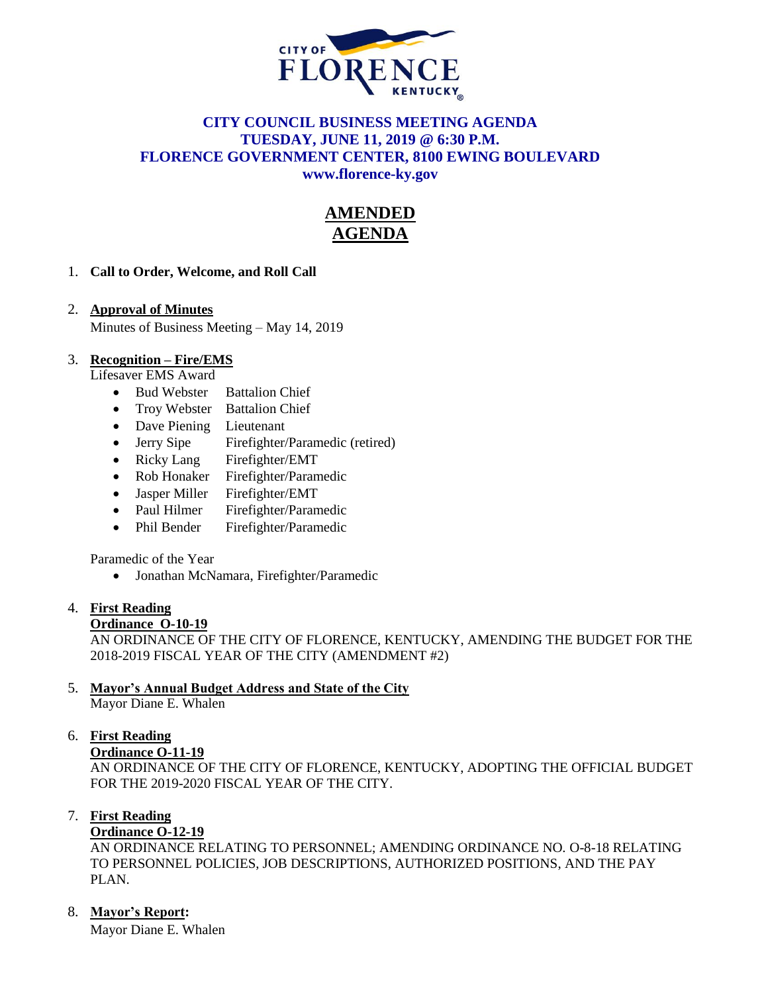

## **CITY COUNCIL BUSINESS MEETING AGENDA TUESDAY, JUNE 11, 2019 @ 6:30 P.M. FLORENCE GOVERNMENT CENTER, 8100 EWING BOULEVARD [www.florence-ky.gov](http://www.florence-ky.gov/)**

# **AMENDED AGENDA**

## 1. **Call to Order, Welcome, and Roll Call**

## 2. **Approval of Minutes**

Minutes of Business Meeting – May 14, 2019

#### 3. **Recognition – Fire/EMS**

Lifesaver EMS Award

- Bud Webster Battalion Chief
- Troy Webster Battalion Chief
- Dave Piening Lieutenant
- Jerry Sipe Firefighter/Paramedic (retired)
- Ricky Lang Firefighter/EMT
- Rob Honaker Firefighter/Paramedic
- Jasper Miller Firefighter/EMT
- Paul Hilmer Firefighter/Paramedic
- Phil Bender Firefighter/Paramedic

Paramedic of the Year

Jonathan McNamara, Firefighter/Paramedic

#### 4. **First Reading**

#### **Ordinance O-10-19**

AN ORDINANCE OF THE CITY OF FLORENCE, KENTUCKY, AMENDING THE BUDGET FOR THE 2018-2019 FISCAL YEAR OF THE CITY (AMENDMENT #2)

## 5. **Mayor's Annual Budget Address and State of the City**

Mayor Diane E. Whalen

#### 6. **First Reading**

#### **Ordinance O-11-19**

AN ORDINANCE OF THE CITY OF FLORENCE, KENTUCKY, ADOPTING THE OFFICIAL BUDGET FOR THE 2019-2020 FISCAL YEAR OF THE CITY.

#### 7. **First Reading**

#### **Ordinance O-12-19**

AN ORDINANCE RELATING TO PERSONNEL; AMENDING ORDINANCE NO. O-8-18 RELATING TO PERSONNEL POLICIES, JOB DESCRIPTIONS, AUTHORIZED POSITIONS, AND THE PAY PLAN.

## 8. **Mayor's Report:**

Mayor Diane E. Whalen